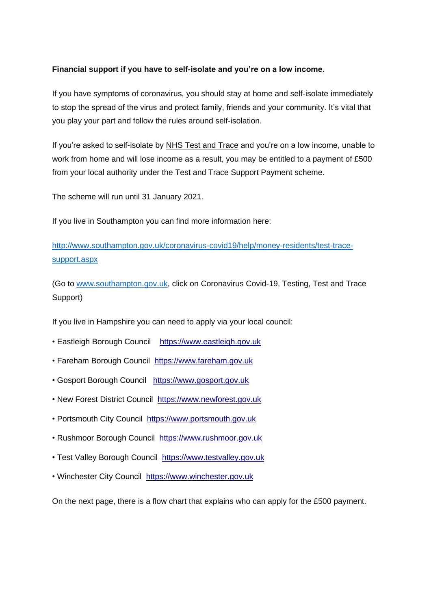## **Financial support if you have to self-isolate and you're on a low income.**

If you have symptoms of coronavirus, you should stay at home and self-isolate immediately to stop the spread of the virus and protect family, friends and your community. It's vital that you play your part and follow the rules around self-isolation.

If you're asked to self-isolate by NHS Test and Trace and you're on a low income, unable to work from home and will lose income as a result, you may be entitled to a payment of £500 from your local authority under the Test and Trace Support Payment scheme.

The scheme will run until 31 January 2021.

If you live in Southampton you can find more information here:

[http://www.southampton.gov.uk/coronavirus-covid19/help/money-residents/test-trace](http://www.southampton.gov.uk/coronavirus-covid19/help/money-residents/test-trace-support.aspx)[support.aspx](http://www.southampton.gov.uk/coronavirus-covid19/help/money-residents/test-trace-support.aspx)

(Go to [www.southampton.gov.uk,](http://www.southampton.gov.uk/) click on Coronavirus Covid-19, Testing, Test and Trace Support)

If you live in Hampshire you can need to apply via your local council:

- Eastleigh Borough Council [https://www.eastleigh.gov.uk](https://www.eastleigh.gov.uk/)
- Fareham Borough Council [https://www.fareham.gov.uk](https://www.fareham.gov.uk/)
- Gosport Borough Council [https://www.gosport.gov.uk](https://www.gosport.gov.uk/)
- New Forest District Council [https://www.newforest.gov.uk](https://www.newforest.gov.uk/)
- Portsmouth City Council [https://www.portsmouth.gov.uk](https://www.portsmouth.gov.uk/)
- Rushmoor Borough Council [https://www.rushmoor.gov.uk](https://www.rushmoor.gov.uk/)
- Test Valley Borough Council [https://www.testvalley.gov.uk](https://www.testvalley.gov.uk/)
- Winchester City Council [https://www.winchester.gov.uk](https://www.winchester.gov.uk/)

On the next page, there is a flow chart that explains who can apply for the £500 payment.